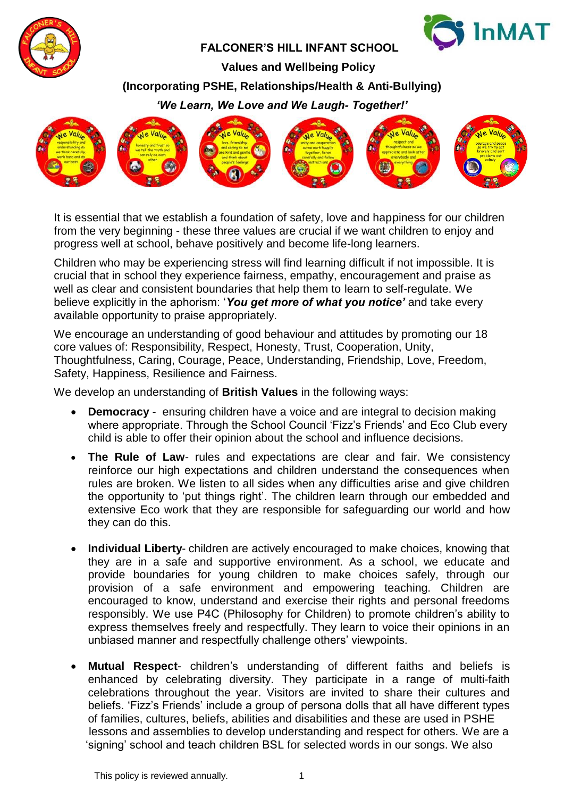



Children who may be experiencing stress will find learning difficult if not impossible. It is crucial that in school they experience fairness, empathy, encouragement and praise as well as clear and consistent boundaries that help them to learn to self-regulate. We believe explicitly in the aphorism: '*You get more of what you notice'* and take every available opportunity to praise appropriately.

We encourage an understanding of good behaviour and attitudes by promoting our 18 core values of: Responsibility, Respect, Honesty, Trust, Cooperation, Unity, Thoughtfulness, Caring, Courage, Peace, Understanding, Friendship, Love, Freedom, Safety, Happiness, Resilience and Fairness.

We develop an understanding of **British Values** in the following ways:

- **Democracy** ensuring children have a voice and are integral to decision making where appropriate. Through the School Council 'Fizz's Friends' and Eco Club every child is able to offer their opinion about the school and influence decisions.
- **The Rule of Law** rules and expectations are clear and fair. We consistency reinforce our high expectations and children understand the consequences when rules are broken. We listen to all sides when any difficulties arise and give children the opportunity to 'put things right'. The children learn through our embedded and extensive Eco work that they are responsible for safeguarding our world and how they can do this.
- **Individual Liberty** children are actively encouraged to make choices, knowing that they are in a safe and supportive environment. As a school, we educate and provide boundaries for young children to make choices safely, through our provision of a safe environment and empowering teaching. Children are encouraged to know, understand and exercise their rights and personal freedoms responsibly. We use P4C (Philosophy for Children) to promote children's ability to express themselves freely and respectfully. They learn to voice their opinions in an unbiased manner and respectfully challenge others' viewpoints.
- **Mutual Respect** children's understanding of different faiths and beliefs is enhanced by celebrating diversity. They participate in a range of multi-faith celebrations throughout the year. Visitors are invited to share their cultures and beliefs. 'Fizz's Friends' include a group of persona dolls that all have different types of families, cultures, beliefs, abilities and disabilities and these are used in PSHE lessons and assemblies to develop understanding and respect for others. We are a 'signing' school and teach children BSL for selected words in our songs. We also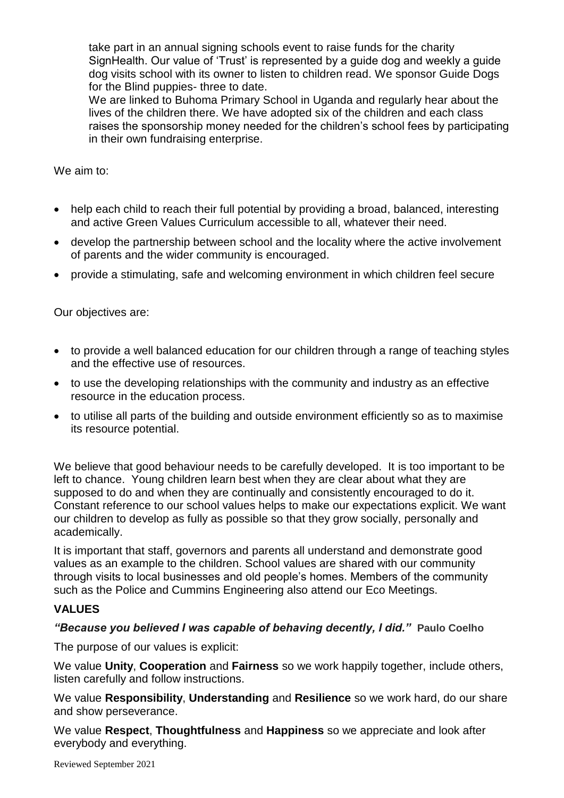take part in an annual signing schools event to raise funds for the charity SignHealth. Our value of 'Trust' is represented by a guide dog and weekly a guide dog visits school with its owner to listen to children read. We sponsor Guide Dogs for the Blind puppies- three to date.

 We are linked to Buhoma Primary School in Uganda and regularly hear about the lives of the children there. We have adopted six of the children and each class raises the sponsorship money needed for the children's school fees by participating in their own fundraising enterprise.

We aim to:

- help each child to reach their full potential by providing a broad, balanced, interesting and active Green Values Curriculum accessible to all, whatever their need.
- develop the partnership between school and the locality where the active involvement of parents and the wider community is encouraged.
- provide a stimulating, safe and welcoming environment in which children feel secure

Our objectives are:

- to provide a well balanced education for our children through a range of teaching styles and the effective use of resources.
- to use the developing relationships with the community and industry as an effective resource in the education process.
- to utilise all parts of the building and outside environment efficiently so as to maximise its resource potential.

We believe that good behaviour needs to be carefully developed. It is too important to be left to chance. Young children learn best when they are clear about what they are supposed to do and when they are continually and consistently encouraged to do it. Constant reference to our school values helps to make our expectations explicit. We want our children to develop as fully as possible so that they grow socially, personally and academically.

It is important that staff, governors and parents all understand and demonstrate good values as an example to the children. School values are shared with our community through visits to local businesses and old people's homes. Members of the community such as the Police and Cummins Engineering also attend our Eco Meetings.

### **VALUES**

#### *"Because you believed I was capable of behaving decently, I did."* **[Paulo Coelho](http://www.goodreads.com/author/show/566.Paulo_Coelho)**

The purpose of our values is explicit:

We value **Unity**, **Cooperation** and **Fairness** so we work happily together, include others, listen carefully and follow instructions.

We value **Responsibility**, **Understanding** and **Resilience** so we work hard, do our share and show perseverance.

We value **Respect**, **Thoughtfulness** and **Happiness** so we appreciate and look after everybody and everything.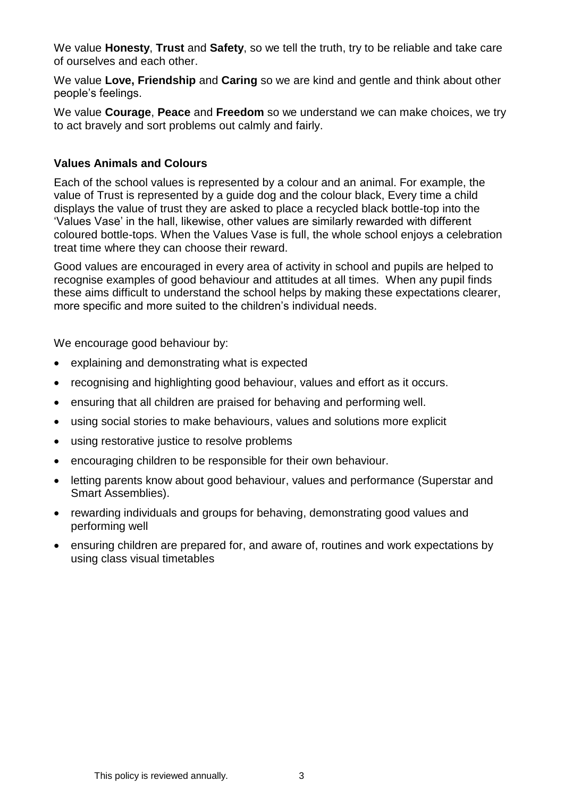We value **Honesty**, **Trust** and **Safety**, so we tell the truth, try to be reliable and take care of ourselves and each other.

We value **Love, Friendship** and **Caring** so we are kind and gentle and think about other people's feelings.

We value **Courage**, **Peace** and **Freedom** so we understand we can make choices, we try to act bravely and sort problems out calmly and fairly.

#### **Values Animals and Colours**

Each of the school values is represented by a colour and an animal. For example, the value of Trust is represented by a guide dog and the colour black, Every time a child displays the value of trust they are asked to place a recycled black bottle-top into the 'Values Vase' in the hall, likewise, other values are similarly rewarded with different coloured bottle-tops. When the Values Vase is full, the whole school enjoys a celebration treat time where they can choose their reward.

Good values are encouraged in every area of activity in school and pupils are helped to recognise examples of good behaviour and attitudes at all times. When any pupil finds these aims difficult to understand the school helps by making these expectations clearer, more specific and more suited to the children's individual needs.

We encourage good behaviour by:

- explaining and demonstrating what is expected
- recognising and highlighting good behaviour, values and effort as it occurs.
- ensuring that all children are praised for behaving and performing well.
- using social stories to make behaviours, values and solutions more explicit
- using restorative justice to resolve problems
- encouraging children to be responsible for their own behaviour.
- letting parents know about good behaviour, values and performance (Superstar and Smart Assemblies).
- rewarding individuals and groups for behaving, demonstrating good values and performing well
- ensuring children are prepared for, and aware of, routines and work expectations by using class visual timetables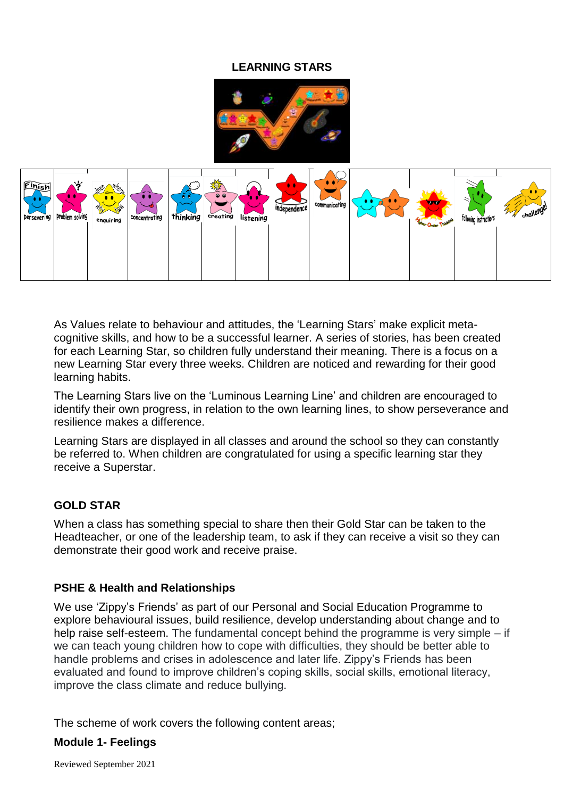# **LEARNING STARS**





As Values relate to behaviour and attitudes, the 'Learning Stars' make explicit metacognitive skills, and how to be a successful learner. A series of stories, has been created for each Learning Star, so children fully understand their meaning. There is a focus on a new Learning Star every three weeks. Children are noticed and rewarding for their good learning habits.

The Learning Stars live on the 'Luminous Learning Line' and children are encouraged to identify their own progress, in relation to the own learning lines, to show perseverance and resilience makes a difference.

Learning Stars are displayed in all classes and around the school so they can constantly be referred to. When children are congratulated for using a specific learning star they receive a Superstar.

### **GOLD STAR**

When a class has something special to share then their Gold Star can be taken to the Headteacher, or one of the leadership team, to ask if they can receive a visit so they can demonstrate their good work and receive praise.

#### **PSHE & Health and Relationships**

We use 'Zippy's Friends' as part of our Personal and Social Education Programme to explore behavioural issues, build resilience, develop understanding about change and to help raise self-esteem. The fundamental concept behind the programme is very simple – if we can teach young children how to cope with difficulties, they should be better able to handle problems and crises in adolescence and later life. Zippy's Friends has been evaluated and found to improve children's coping skills, social skills, emotional literacy, improve the class climate and reduce bullying.

The scheme of work covers the following content areas;

#### **Module 1- Feelings**

Reviewed September 2021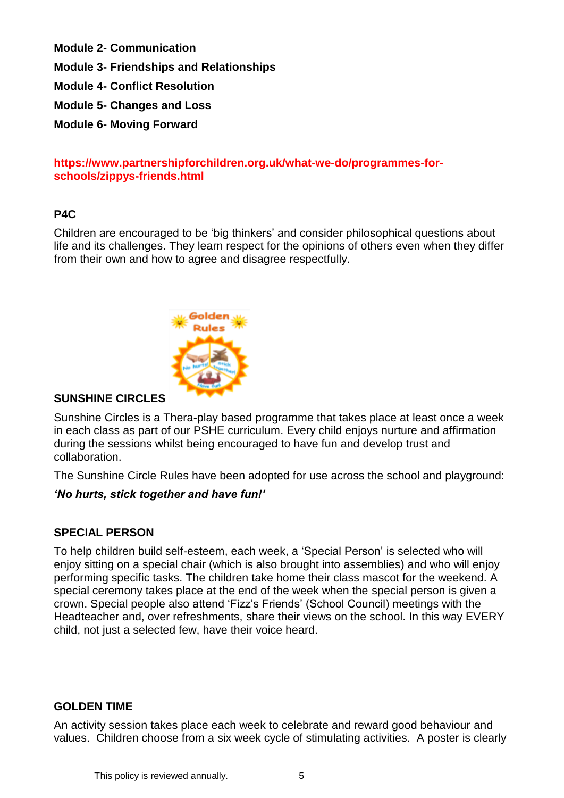**Module 2- Communication** 

**Module 3- Friendships and Relationships** 

**Module 4- Conflict Resolution** 

**Module 5- Changes and Loss**

**Module 6- Moving Forward** 

### **https://www.partnershipforchildren.org.uk/what-we-do/programmes-forschools/zippys-friends.html**

### **P4C**

Children are encouraged to be 'big thinkers' and consider philosophical questions about life and its challenges. They learn respect for the opinions of others even when they differ from their own and how to agree and disagree respectfully.



### **SUNSHINE CIRCLES**

Sunshine Circles is a Thera-play based programme that takes place at least once a week in each class as part of our PSHE curriculum. Every child enjoys nurture and affirmation during the sessions whilst being encouraged to have fun and develop trust and collaboration.

The Sunshine Circle Rules have been adopted for use across the school and playground:

### *'No hurts, stick together and have fun!'*

#### **SPECIAL PERSON**

To help children build self-esteem, each week, a 'Special Person' is selected who will enjoy sitting on a special chair (which is also brought into assemblies) and who will enjoy performing specific tasks. The children take home their class mascot for the weekend. A special ceremony takes place at the end of the week when the special person is given a crown. Special people also attend 'Fizz's Friends' (School Council) meetings with the Headteacher and, over refreshments, share their views on the school. In this way EVERY child, not just a selected few, have their voice heard.

#### **GOLDEN TIME**

An activity session takes place each week to celebrate and reward good behaviour and values. Children choose from a six week cycle of stimulating activities. A poster is clearly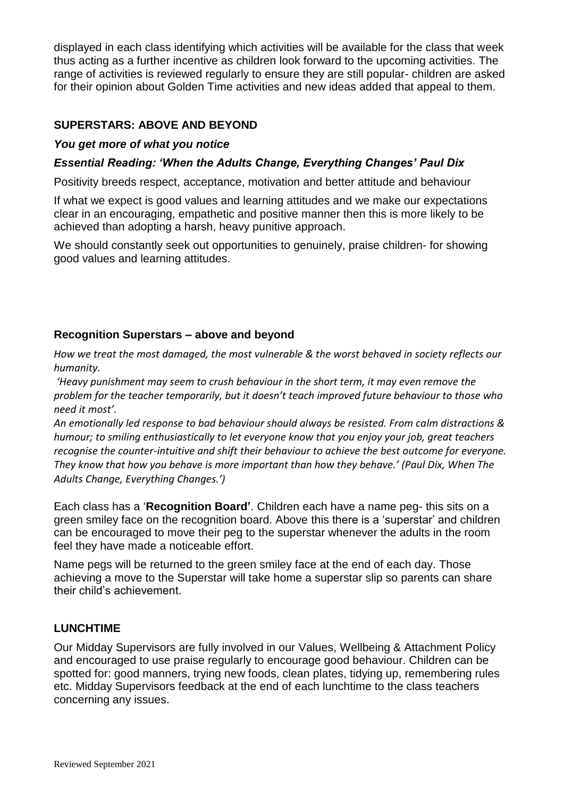displayed in each class identifying which activities will be available for the class that week thus acting as a further incentive as children look forward to the upcoming activities. The range of activities is reviewed regularly to ensure they are still popular- children are asked for their opinion about Golden Time activities and new ideas added that appeal to them.

### **SUPERSTARS: ABOVE AND BEYOND**

#### *You get more of what you notice*

#### *Essential Reading: 'When the Adults Change, Everything Changes' Paul Dix*

Positivity breeds respect, acceptance, motivation and better attitude and behaviour

If what we expect is good values and learning attitudes and we make our expectations clear in an encouraging, empathetic and positive manner then this is more likely to be achieved than adopting a harsh, heavy punitive approach.

We should constantly seek out opportunities to genuinely, praise children- for showing good values and learning attitudes.

#### **Recognition Superstars – above and beyond**

*How we treat the most damaged, the most vulnerable & the worst behaved in society reflects our humanity.*

*'Heavy punishment may seem to crush behaviour in the short term, it may even remove the problem for the teacher temporarily, but it doesn't teach improved future behaviour to those who need it most'.*

*An emotionally led response to bad behaviour should always be resisted. From calm distractions & humour; to smiling enthusiastically to let everyone know that you enjoy your job, great teachers recognise the counter-intuitive and shift their behaviour to achieve the best outcome for everyone. They know that how you behave is more important than how they behave.' (Paul Dix, When The Adults Change, Everything Changes.')* 

Each class has a '**Recognition Board'**. Children each have a name peg- this sits on a green smiley face on the recognition board. Above this there is a 'superstar' and children can be encouraged to move their peg to the superstar whenever the adults in the room feel they have made a noticeable effort.

Name pegs will be returned to the green smiley face at the end of each day. Those achieving a move to the Superstar will take home a superstar slip so parents can share their child's achievement.

#### **LUNCHTIME**

Our Midday Supervisors are fully involved in our Values, Wellbeing & Attachment Policy and encouraged to use praise regularly to encourage good behaviour. Children can be spotted for: good manners, trying new foods, clean plates, tidying up, remembering rules etc. Midday Supervisors feedback at the end of each lunchtime to the class teachers concerning any issues.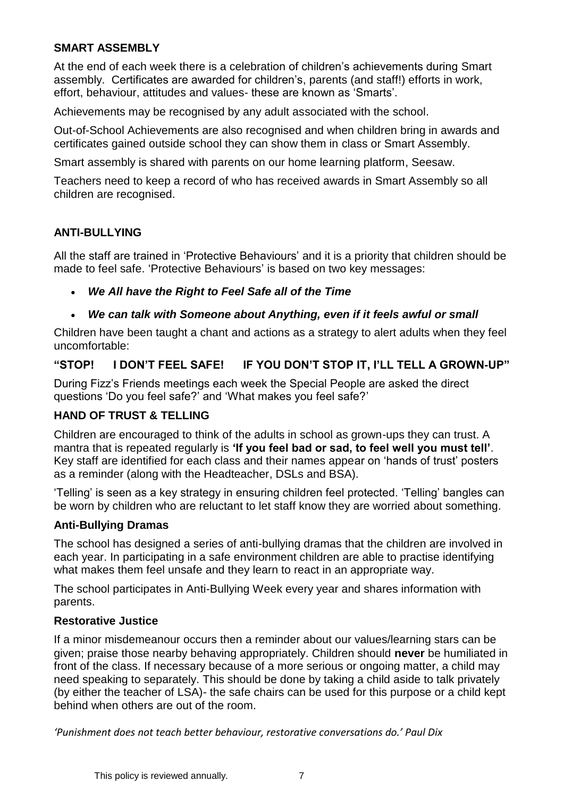# **SMART ASSEMBLY**

At the end of each week there is a celebration of children's achievements during Smart assembly. Certificates are awarded for children's, parents (and staff!) efforts in work, effort, behaviour, attitudes and values- these are known as 'Smarts'.

Achievements may be recognised by any adult associated with the school.

Out-of-School Achievements are also recognised and when children bring in awards and certificates gained outside school they can show them in class or Smart Assembly.

Smart assembly is shared with parents on our home learning platform, Seesaw.

Teachers need to keep a record of who has received awards in Smart Assembly so all children are recognised.

### **ANTI-BULLYING**

All the staff are trained in 'Protective Behaviours' and it is a priority that children should be made to feel safe. 'Protective Behaviours' is based on two key messages:

• *We All have the Right to Feel Safe all of the Time*

### • *We can talk with Someone about Anything, even if it feels awful or small*

Children have been taught a chant and actions as a strategy to alert adults when they feel uncomfortable:

### **"STOP! I DON'T FEEL SAFE! IF YOU DON'T STOP IT, I'LL TELL A GROWN-UP"**

During Fizz's Friends meetings each week the Special People are asked the direct questions 'Do you feel safe?' and 'What makes you feel safe?'

#### **HAND OF TRUST & TELLING**

Children are encouraged to think of the adults in school as grown-ups they can trust. A mantra that is repeated regularly is **'If you feel bad or sad, to feel well you must tell'**. Key staff are identified for each class and their names appear on 'hands of trust' posters as a reminder (along with the Headteacher, DSLs and BSA).

'Telling' is seen as a key strategy in ensuring children feel protected. 'Telling' bangles can be worn by children who are reluctant to let staff know they are worried about something.

#### **Anti-Bullying Dramas**

The school has designed a series of anti-bullying dramas that the children are involved in each year. In participating in a safe environment children are able to practise identifying what makes them feel unsafe and they learn to react in an appropriate way.

The school participates in Anti-Bullying Week every year and shares information with parents.

#### **Restorative Justice**

If a minor misdemeanour occurs then a reminder about our values/learning stars can be given; praise those nearby behaving appropriately. Children should **never** be humiliated in front of the class. If necessary because of a more serious or ongoing matter, a child may need speaking to separately. This should be done by taking a child aside to talk privately (by either the teacher of LSA)- the safe chairs can be used for this purpose or a child kept behind when others are out of the room.

*'Punishment does not teach better behaviour, restorative conversations do.' Paul Dix*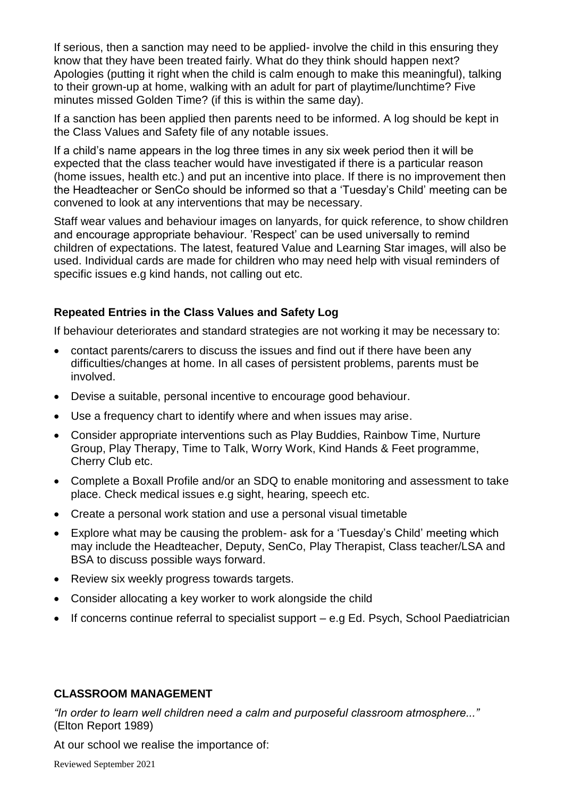If serious, then a sanction may need to be applied- involve the child in this ensuring they know that they have been treated fairly. What do they think should happen next? Apologies (putting it right when the child is calm enough to make this meaningful), talking to their grown-up at home, walking with an adult for part of playtime/lunchtime? Five minutes missed Golden Time? (if this is within the same day).

If a sanction has been applied then parents need to be informed. A log should be kept in the Class Values and Safety file of any notable issues.

If a child's name appears in the log three times in any six week period then it will be expected that the class teacher would have investigated if there is a particular reason (home issues, health etc.) and put an incentive into place. If there is no improvement then the Headteacher or SenCo should be informed so that a 'Tuesday's Child' meeting can be convened to look at any interventions that may be necessary.

Staff wear values and behaviour images on lanyards, for quick reference, to show children and encourage appropriate behaviour. 'Respect' can be used universally to remind children of expectations. The latest, featured Value and Learning Star images, will also be used. Individual cards are made for children who may need help with visual reminders of specific issues e.g kind hands, not calling out etc.

#### **Repeated Entries in the Class Values and Safety Log**

If behaviour deteriorates and standard strategies are not working it may be necessary to:

- contact parents/carers to discuss the issues and find out if there have been any difficulties/changes at home. In all cases of persistent problems, parents must be involved.
- Devise a suitable, personal incentive to encourage good behaviour.
- Use a frequency chart to identify where and when issues may arise.
- Consider appropriate interventions such as Play Buddies, Rainbow Time, Nurture Group, Play Therapy, Time to Talk, Worry Work, Kind Hands & Feet programme, Cherry Club etc.
- Complete a Boxall Profile and/or an SDQ to enable monitoring and assessment to take place. Check medical issues e.g sight, hearing, speech etc.
- Create a personal work station and use a personal visual timetable
- Explore what may be causing the problem- ask for a 'Tuesday's Child' meeting which may include the Headteacher, Deputy, SenCo, Play Therapist, Class teacher/LSA and BSA to discuss possible ways forward.
- Review six weekly progress towards targets.
- Consider allocating a key worker to work alongside the child
- If concerns continue referral to specialist support e.g Ed. Psych, School Paediatrician

#### **CLASSROOM MANAGEMENT**

*"In order to learn well children need a calm and purposeful classroom atmosphere..."*  (Elton Report 1989)

At our school we realise the importance of: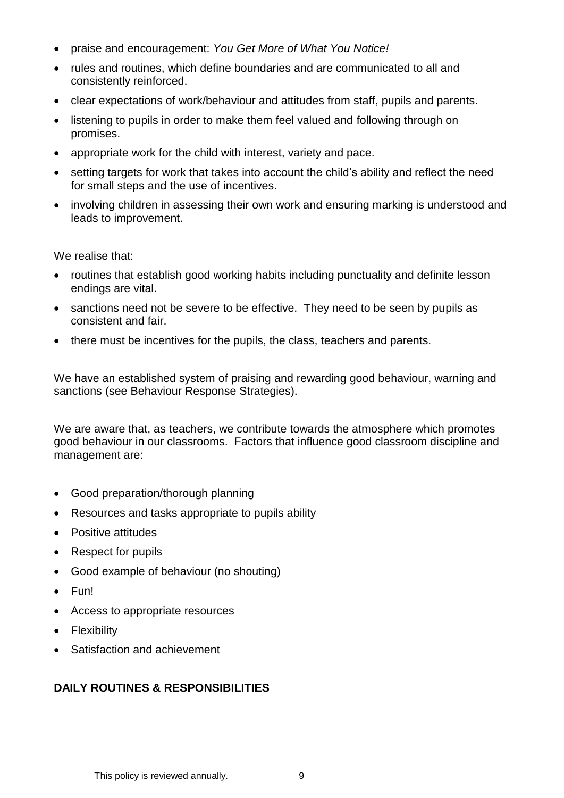- praise and encouragement: *You Get More of What You Notice!*
- rules and routines, which define boundaries and are communicated to all and consistently reinforced.
- clear expectations of work/behaviour and attitudes from staff, pupils and parents.
- listening to pupils in order to make them feel valued and following through on promises.
- appropriate work for the child with interest, variety and pace.
- setting targets for work that takes into account the child's ability and reflect the need for small steps and the use of incentives.
- involving children in assessing their own work and ensuring marking is understood and leads to improvement.

We realise that:

- routines that establish good working habits including punctuality and definite lesson endings are vital.
- sanctions need not be severe to be effective. They need to be seen by pupils as consistent and fair.
- there must be incentives for the pupils, the class, teachers and parents.

We have an established system of praising and rewarding good behaviour, warning and sanctions (see Behaviour Response Strategies).

We are aware that, as teachers, we contribute towards the atmosphere which promotes good behaviour in our classrooms. Factors that influence good classroom discipline and management are:

- Good preparation/thorough planning
- Resources and tasks appropriate to pupils ability
- Positive attitudes
- Respect for pupils
- Good example of behaviour (no shouting)
- Fun!
- Access to appropriate resources
- Flexibility
- Satisfaction and achievement

# **DAILY ROUTINES & RESPONSIBILITIES**